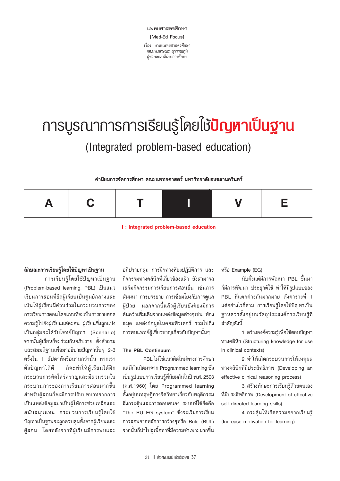**IMed-Ed Focus1** 

เรื่อง : งานแพทยศาสตรศึกษา ผศ.นพ.กฤษณะ สุวรรณภูมิ ผ้ช่วยคณบดีฝ่ายการศึกษา

# ิการบูรณาการการเรียนรู้โดยไช้**ปัญหาเป็นฐาน** (Integrated problem-based education)

#### ้ค่านิยมการจัดการศึกษา คณะแพทยศาสตร์ มหาวิทยาลัยสงขลานครินทร์



I: Integrated problem-based education

#### ลักษณะการเรียนรู้โดยใช้ปัญหาเป็นฐาน

การเรียนรู้โดยใช้ปัญหาเป็นฐาน (Problem-based learning, PBL) เป็นแนว เรียนการสอนที่ยึดผู้เรียนเป็นศูนย์กลางและ ้เน้นให้ผู้เรียนมีส่วนร่วมในกระบวนการของ ้ การเรียนการสอน โดยแทนที่จะเป็นการถ่ายทอด ความรู้ไปยังผู้เรียนแต่ละคน ผู้เรียนซึ่งถูกแบ่ง เป็นกลุ่มจะได้รับโจทย์ปัญหา (Scenario) จากนั้นผู้เรียนก็จะร่วมกันอภิปราย ตั้งคำถาม และสมมติฐานเพื่อมาอธิบายปัญหานั้นๆ 2-3 ิ ครั้งใน 1 สัปดาห์หรือนานกว่านั้น หากเรา ก็จะทำให้ผู้เรียนได้ฝึก ตั้งปัญหาได้ดี กระบวนการคิดใคร่ครวญและมีส่วนร่วมใน ่ กระบวนการของการเรียนการสอนมากขึ้น สำหรับผู้สอนก็จะมีการปรับบทบาทจากการ ้เป็นแหล่งข้อมูลมาเป็นผู้ให้การช่วยเหลือและ สนับสนุนแทน กระบวนการเรียนรู้โดยใช้ ้ ปัญหาเป็นฐานจะถูกควบคุมทั้งจากผู้เรียนและ ผู้สอน โดยหลังจากที่ผู้เรียนมีการพบและ

อภิปรายกลุ่ม การฝึกทางห้องปฏิบัติการ และ ้กิจกรรมทางคลินิกที่เกี่ยวข้องแล้ว ยังสามารถ เสริมกิจกรรมการเรียนการสอนอื่น เช่นการ ้สัมมนา การบรรยาย การเชื่อมโยงกับการดูแล ผู้ป่วย นอกจากนี้แล้วผู้เรียนยังต้องมีการ ์คันคว้าเพิ่มเติมจากแหล่งข้อมูลต่างๆเช่น ห้อง สมุด แหล่งข้อมูลในคอมพิวเตอร์ รวมไปถึง การพบแพทย์ผู้เชี่ยวชาญเกี่ยวกับปัญหานั้นๆ

#### The PBL Continuum

PBL ไม่ใช่แนวคิดใหม่ทางการศึกษา แต่มีกำเนิดมาจาก Programmed learning ซึ่ง เป็นรูปแบบการเรียนรู้ที่นิยมกันในปี พ.ศ. 2503 (ค.ศ.1960) โดย Programmed learning ตั้งอยู่บนทฤษฎีทางจิตวิทยาเกี่ยวกับพฤติกรรม สิ่งกระต้นและการตอบสนอง ระบบที่ใช้ยึดคือ "The RULEG system" ซึ่งจะเริ่มการเรียน การสอนจากหลักการกว้างๆหรือ Rule (RUL) จากนั้นก็นำไปสู่เนื้อหาที่มีความจำเพาะมากขึ้น หรือ Example (EG)

นับตั้งแต่มีการพัฒนา PBL ขึ้นมา ก็มีการพัฒนา ประยุกต์ใช้ ทำให้มีรูปแบบของ PBL ที่แตกต่างกันมากมาย ดังตารางที่ 1 แต่อย่างไรก็ตาม การเรียนรู้โดยใช้ปัญหาเป็น ฐานควรตั้งอยู่บนวัตถุประสงค์การเรียนรู้ที่ สำคัญดังนี้

1. สร้างองค์ความรู้เพื่อใช้ตอบปัญหา ทางคลินิก (Structuring knowledge for use in clinical contexts)

2. ทำให้เกิดกระบวนการให้เหตุผล ทางคลินิกที่มีประสิทธิภาพ (Developing an effective clinical reasoning process)

3. สร้างทักษะการเรียนรู้ด้วยตนเอง ที่มีประสิทธิภาพ (Development of effective self-directed learning skills)

4. กระตุ้นให้เกิดความอยากเรียนรู้ (Increase motivation for learning)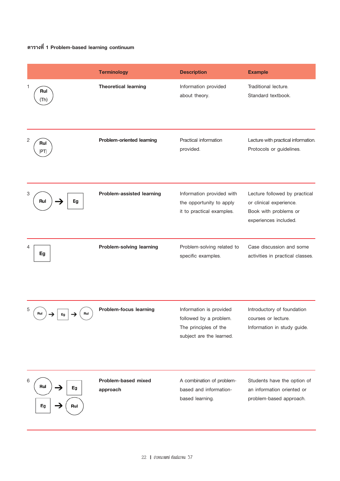## ตารางที่ 1 Problem-based learning continuum

|                             | <b>Terminology</b>              | <b>Description</b>                                                                                     | <b>Example</b>                                                                                             |
|-----------------------------|---------------------------------|--------------------------------------------------------------------------------------------------------|------------------------------------------------------------------------------------------------------------|
| 1<br>Rul<br>Th)             | <b>Theoretical learning</b>     | Information provided<br>about theory.                                                                  | Traditional lecture.<br>Standard textbook.                                                                 |
| 2<br>Rul<br>PT)             | Problem-oriented learning       | Practical information<br>provided.                                                                     | Lecture with practical information.<br>Protocols or guidelines.                                            |
| 3<br>Eg<br>Rul              | Problem-assisted learning       | Information provided with<br>the opportunity to apply<br>it to practical examples.                     | Lecture followed by practical<br>or clinical experience.<br>Book with problems or<br>experiences included. |
| 4<br>Eg                     | Problem-solving learning        | Problem-solving related to<br>specific examples.                                                       | Case discussion and some<br>activities in practical classes.                                               |
| 5<br>Rul<br>Rul<br>Eg       | Problem-focus learning          | Information is provided<br>followed by a problem.<br>The principles of the<br>subject are the learned. | Introductory of foundation<br>courses or lecture.<br>Information in study guide.                           |
| 6<br>Rul<br>Eg<br>Eg<br>Rul | Problem-based mixed<br>approach | A combination of problem-<br>based and information-<br>based learning.                                 | Students have the option of<br>an information oriented or<br>problem-based approach.                       |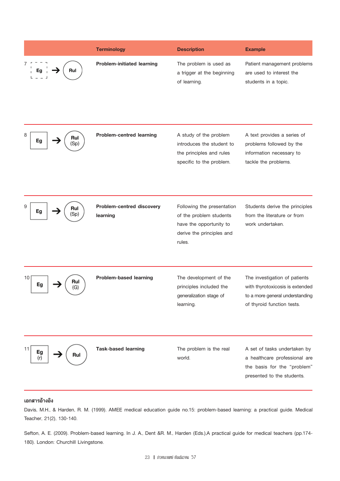|                        | <b>Terminology</b>                    | <b>Description</b>                                                                                                      | <b>Example</b>                                                                                                                    |
|------------------------|---------------------------------------|-------------------------------------------------------------------------------------------------------------------------|-----------------------------------------------------------------------------------------------------------------------------------|
| Rul                    | <b>Problem-initiated learning</b>     | The problem is used as<br>a trigger at the beginning<br>of learning.                                                    | Patient management problems<br>are used to interest the<br>students in a topic.                                                   |
| 8<br>Rul<br>Eg<br>Sp)  | <b>Problem-centred learning</b>       | A study of the problem<br>introduces the student to<br>the principles and rules<br>specific to the problem.             | A text provides a series of<br>problems followed by the<br>information necessary to<br>tackle the problems.                       |
| 9<br>Rul<br>Eg<br>(Sp  | Problem-centred discovery<br>learning | Following the presentation<br>of the problem students<br>have the opportunity to<br>derive the principles and<br>rules. | Students derive the principles<br>from the literature or from<br>work undertaken.                                                 |
| 10<br>Rul<br>Eg<br>(G) | Problem-based learning                | The development of the<br>principles included the<br>generalization stage of<br>learning.                               | The investigation of patients<br>with thyrotoxicosis is extended<br>to a more general understanding<br>of thyroid function tests. |
| 11<br>Eg<br>Rul<br>(r) | <b>Task-based learning</b>            | The problem is the real<br>world.                                                                                       | A set of tasks undertaken by<br>a healthcare professional are<br>the basis for the "problem"<br>presented to the students.        |

### เอกสารอ้างอิง

Davis, M.H., & Harden, R. M. (1999). AMEE medical education guide no.15: problem-based learning: a practical guide. Medical Teacher, 21(2), 130-140.

Sefton, A. E. (2009). Problem-based learning. In J. A., Dent &R. M., Harden (Eds.),A practical guide for medical teachers (pp.174-180). London: Churchill Livingstone.